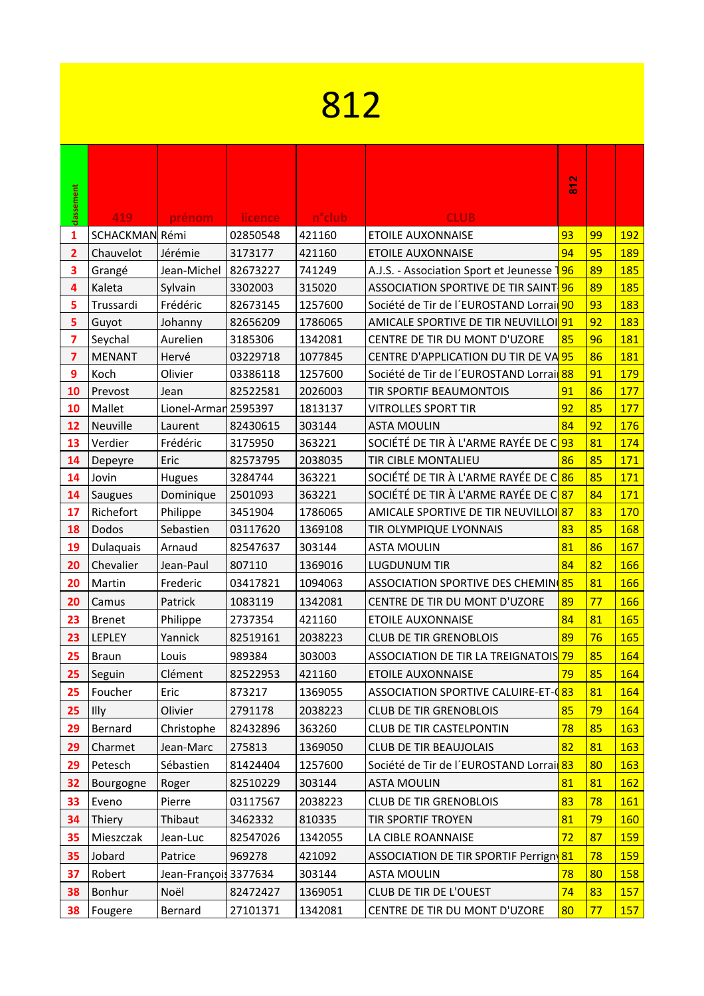## 

|                              |                             |                       |                     |                  |                                                                      | $\frac{2}{8}$ |    |            |
|------------------------------|-----------------------------|-----------------------|---------------------|------------------|----------------------------------------------------------------------|---------------|----|------------|
| classement                   |                             |                       |                     |                  |                                                                      |               |    |            |
|                              | 419                         | prénom                | licence             | n°club           | <b>CLUB</b>                                                          | 93            | 99 | <b>192</b> |
| 1                            | SCHACKMAN Rémi<br>Chauvelot | Jérémie               | 02850548            | 421160<br>421160 | <b>ETOILE AUXONNAISE</b>                                             | 94            | 95 | <b>189</b> |
| $\overline{\mathbf{2}}$<br>3 |                             | Jean-Michel           | 3173177<br>82673227 | 741249           | <b>ETOILE AUXONNAISE</b><br>A.J.S. - Association Sport et Jeunesse 7 | 96            | 89 | 185        |
| 4                            | Grangé<br>Kaleta            | Sylvain               | 3302003             | 315020           | ASSOCIATION SPORTIVE DE TIR SAINT <mark>-96</mark>                   |               | 89 | 185        |
| 5                            | Trussardi                   | Frédéric              | 82673145            | 1257600          | Société de Tir de l'EUROSTAND Lorrai <sup>190</sup>                  |               | 93 | 183        |
| 5                            | Guyot                       | Johanny               | 82656209            | 1786065          | AMICALE SPORTIVE DE TIR NEUVILLOI <sup>91</sup>                      |               | 92 | 183        |
| 7                            | Seychal                     | Aurelien              | 3185306             | 1342081          | CENTRE DE TIR DU MONT D'UZORE                                        | 85            | 96 | 181        |
| 7                            | <b>MENANT</b>               | Hervé                 | 03229718            | 1077845          | CENTRE D'APPLICATION DU TIR DE VA <sup>95</sup>                      |               | 86 | 181        |
| 9                            | Koch                        | Olivier               | 03386118            | 1257600          | Société de Tir de l'EUROSTAND Lorrai <sup>88</sup>                   |               | 91 | 179        |
| 10                           | Prevost                     | Jean                  | 82522581            | 2026003          | TIR SPORTIF BEAUMONTOIS                                              | 91            | 86 | 177        |
| 10                           | Mallet                      | Lionel-Armar 2595397  |                     | 1813137          | <b>VITROLLES SPORT TIR</b>                                           | 92            | 85 | 177        |
| 12                           | Neuville                    | Laurent               | 82430615            | 303144           | <b>ASTA MOULIN</b>                                                   | 84            | 92 | 176        |
| 13                           | Verdier                     | Frédéric              | 3175950             | 363221           | SOCIÉTÉ DE TIR À L'ARME RAYÉE DE C <mark>93</mark>                   |               | 81 | 174        |
| 14                           | Depeyre                     | Eric                  | 82573795            | 2038035          | TIR CIBLE MONTALIEU                                                  | 86            | 85 | 171        |
| 14                           | Jovin                       | Hugues                | 3284744             | 363221           | SOCIÉTÉ DE TIR À L'ARME RAYÉE DE C <sup>186</sup>                    |               | 85 | 171        |
| 14                           | <b>Saugues</b>              | Dominique             | 2501093             | 363221           | SOCIÉTÉ DE TIR À L'ARME RAYÉE DE C <mark>87</mark>                   |               | 84 | 171        |
| 17                           | Richefort                   | Philippe              | 3451904             | 1786065          | AMICALE SPORTIVE DE TIR NEUVILLOI <sup>87</sup>                      |               | 83 | 170        |
| 18                           | <b>Dodos</b>                | Sebastien             | 03117620            | 1369108          | TIR OLYMPIQUE LYONNAIS                                               | 83            | 85 | 168        |
| 19                           | Dulaquais                   | Arnaud                | 82547637            | 303144           | <b>ASTA MOULIN</b>                                                   | 81            | 86 | 167        |
| 20                           | Chevalier                   | Jean-Paul             | 807110              | 1369016          | LUGDUNUM TIR                                                         | 84            | 82 | 166        |
| 20                           | Martin                      | Frederic              | 03417821            | 1094063          | ASSOCIATION SPORTIVE DES CHEMIN <sup>(85</sup>                       |               | 81 | 166        |
| 20                           | Camus                       | Patrick               | 1083119             | 1342081          | CENTRE DE TIR DU MONT D'UZORE                                        | 89            | 77 | 166        |
| 23                           | <b>Brenet</b>               | Philippe              | 2737354             | 421160           | <b>ETOILE AUXONNAISE</b>                                             | 84            | 81 | 165        |
| 23                           | LEPLEY                      | Yannick               | 82519161            | 2038223          | <b>CLUB DE TIR GRENOBLOIS</b>                                        | 89            | 76 | 165        |
| 25                           | <b>Braun</b>                | Louis                 | 989384              | 303003           | ASSOCIATION DE TIR LA TREIGNATOIS 79                                 |               | 85 | 164        |
| 25                           | Seguin                      | Clément               | 82522953            | 421160           | <b>ETOILE AUXONNAISE</b>                                             | 79            | 85 | 164        |
| 25                           | Foucher                     | Eric                  | 873217              | 1369055          | ASSOCIATION SPORTIVE CALUIRE-ET-083                                  |               | 81 | <b>164</b> |
| 25                           | Illy                        | Olivier               | 2791178             | 2038223          | <b>CLUB DE TIR GRENOBLOIS</b>                                        | 85            | 79 | 164        |
| 29                           | Bernard                     | Christophe            | 82432896            | 363260           | <b>CLUB DE TIR CASTELPONTIN</b>                                      | 78            | 85 | <b>163</b> |
| 29                           | Charmet                     | Jean-Marc             | 275813              | 1369050          | <b>CLUB DE TIR BEAUJOLAIS</b>                                        | 82            | 81 | 163        |
| 29                           | Petesch                     | Sébastien             | 81424404            | 1257600          | Société de Tir de l'EUROSTAND Lorrai <sup>83</sup>                   |               | 80 | <b>163</b> |
| 32                           | Bourgogne                   | Roger                 | 82510229            | 303144           | <b>ASTA MOULIN</b>                                                   | 81            | 81 | 162        |
|                              |                             |                       | 03117567            |                  | <b>CLUB DE TIR GRENOBLOIS</b>                                        | 83            | 78 |            |
| 33                           | Eveno                       | Pierre                |                     | 2038223          |                                                                      |               |    | <b>161</b> |
| 34                           | Thiery                      | Thibaut               | 3462332             | 810335           | TIR SPORTIF TROYEN                                                   | 81            | 79 | <b>160</b> |
| 35                           | Mieszczak                   | Jean-Luc              | 82547026            | 1342055          | LA CIBLE ROANNAISE                                                   | 72            | 87 | <b>159</b> |
| 35                           | Jobard                      | Patrice               | 969278              | 421092           | ASSOCIATION DE TIR SPORTIF Perrign 81                                |               | 78 | <b>159</b> |
| 37                           | Robert                      | Jean-François 3377634 |                     | 303144           | <b>ASTA MOULIN</b>                                                   | 78            | 80 | 158        |
| 38                           | Bonhur                      | Noël                  | 82472427            | 1369051          | <b>CLUB DE TIR DE L'OUEST</b>                                        | 74            | 83 | <b>157</b> |
| 38                           | Fougere                     | Bernard               | 27101371            | 1342081          | CENTRE DE TIR DU MONT D'UZORE                                        | 80            | 77 | 157        |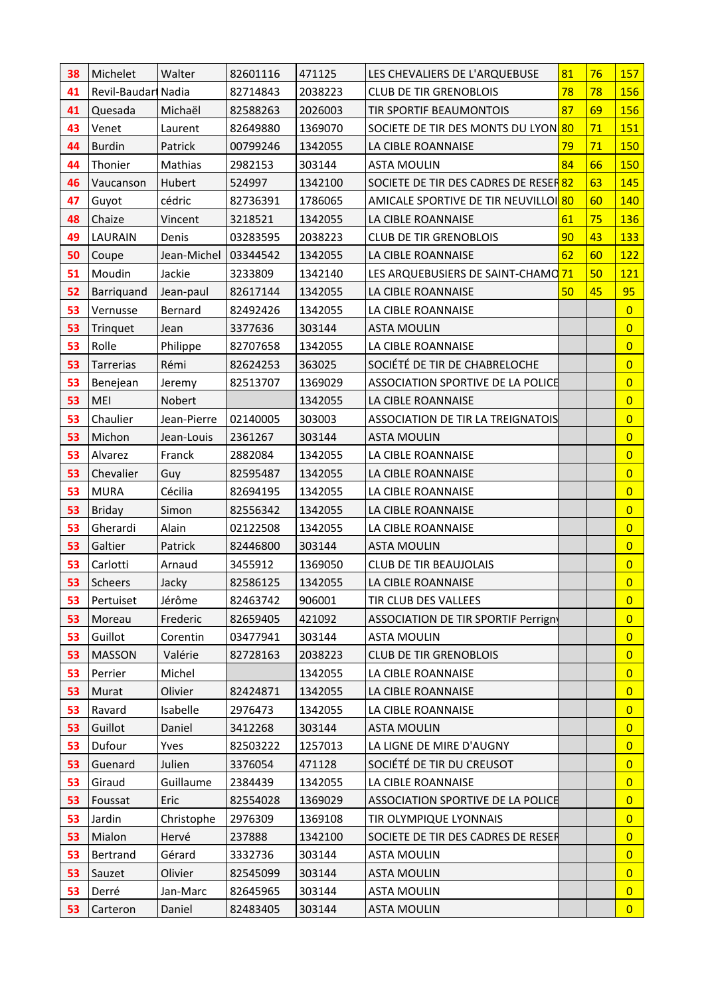| 38 | Michelet            | Walter                 | 82601116 | 471125  | LES CHEVALIERS DE L'ARQUEBUSE                    | 81 | 76 | 157            |
|----|---------------------|------------------------|----------|---------|--------------------------------------------------|----|----|----------------|
| 41 | Revil-Baudari Nadia |                        | 82714843 | 2038223 | <b>CLUB DE TIR GRENOBLOIS</b>                    | 78 | 78 | 156            |
| 41 | Quesada             | Michaël                | 82588263 | 2026003 | TIR SPORTIF BEAUMONTOIS                          | 87 | 69 | 156            |
| 43 | Venet               | Laurent                | 82649880 | 1369070 | SOCIETE DE TIR DES MONTS DU LYON 80              |    | 71 | 151            |
| 44 | <b>Burdin</b>       | Patrick                | 00799246 | 1342055 | LA CIBLE ROANNAISE                               | 79 | 71 | 150            |
| 44 | Thonier             | Mathias                | 2982153  | 303144  | <b>ASTA MOULIN</b>                               | 84 | 66 | 150            |
| 46 | Vaucanson           | Hubert                 | 524997   | 1342100 | SOCIETE DE TIR DES CADRES DE RESER <sup>82</sup> |    | 63 | 145            |
| 47 | Guyot               | cédric                 | 82736391 | 1786065 | AMICALE SPORTIVE DE TIR NEUVILLOI <sup>80</sup>  |    | 60 | 140            |
| 48 | Chaize              | Vincent                | 3218521  | 1342055 | LA CIBLE ROANNAISE                               | 61 | 75 | <b>136</b>     |
| 49 | <b>LAURAIN</b>      | Denis                  | 03283595 | 2038223 | <b>CLUB DE TIR GRENOBLOIS</b>                    | 90 | 43 | 133            |
| 50 | Coupe               | Jean-Michel   03344542 |          | 1342055 | LA CIBLE ROANNAISE                               | 62 | 60 | 122            |
| 51 | Moudin              | Jackie                 | 3233809  | 1342140 | LES ARQUEBUSIERS DE SAINT-CHAMO 71               |    | 50 | 121            |
| 52 | Barriquand          | Jean-paul              | 82617144 | 1342055 | LA CIBLE ROANNAISE                               | 50 | 45 | 95             |
| 53 | Vernusse            | Bernard                | 82492426 | 1342055 | LA CIBLE ROANNAISE                               |    |    | $\overline{0}$ |
| 53 | Trinquet            | Jean                   | 3377636  | 303144  | <b>ASTA MOULIN</b>                               |    |    | $\overline{0}$ |
| 53 | Rolle               | Philippe               | 82707658 | 1342055 | LA CIBLE ROANNAISE                               |    |    | $\overline{0}$ |
| 53 | Tarrerias           | Rémi                   | 82624253 | 363025  | SOCIÉTÉ DE TIR DE CHABRELOCHE                    |    |    | $\overline{0}$ |
| 53 | Benejean            | Jeremy                 | 82513707 | 1369029 | ASSOCIATION SPORTIVE DE LA POLICE                |    |    | $\overline{0}$ |
| 53 | MEI                 | Nobert                 |          | 1342055 | LA CIBLE ROANNAISE                               |    |    | $\overline{0}$ |
| 53 | Chaulier            | Jean-Pierre            | 02140005 | 303003  | ASSOCIATION DE TIR LA TREIGNATOIS                |    |    | $\overline{0}$ |
| 53 | Michon              | Jean-Louis             | 2361267  | 303144  | <b>ASTA MOULIN</b>                               |    |    | $\overline{0}$ |
| 53 | Alvarez             | Franck                 | 2882084  | 1342055 | LA CIBLE ROANNAISE                               |    |    | $\overline{0}$ |
| 53 | Chevalier           | Guy                    | 82595487 | 1342055 | LA CIBLE ROANNAISE                               |    |    | $\overline{0}$ |
| 53 | <b>MURA</b>         | Cécilia                | 82694195 | 1342055 | LA CIBLE ROANNAISE                               |    |    | $\overline{0}$ |
| 53 | <b>Briday</b>       | Simon                  | 82556342 | 1342055 | LA CIBLE ROANNAISE                               |    |    | $\overline{0}$ |
| 53 | Gherardi            | Alain                  | 02122508 | 1342055 | LA CIBLE ROANNAISE                               |    |    | $\overline{0}$ |
| 53 | Galtier             | Patrick                | 82446800 | 303144  | <b>ASTA MOULIN</b>                               |    |    | $\overline{0}$ |
| 53 | Carlotti            | Arnaud                 | 3455912  | 1369050 | <b>CLUB DE TIR BEAUJOLAIS</b>                    |    |    | $\overline{0}$ |
| 53 | Scheers             | Jacky                  | 82586125 | 1342055 | LA CIBLE ROANNAISE                               |    |    | $\overline{0}$ |
| 53 | Pertuiset           | Jérôme                 | 82463742 | 906001  | TIR CLUB DES VALLEES                             |    |    | $\overline{0}$ |
| 53 | Moreau              | Frederic               | 82659405 | 421092  | ASSOCIATION DE TIR SPORTIF Perrign               |    |    | $\overline{0}$ |
| 53 | Guillot             | Corentin               | 03477941 | 303144  | <b>ASTA MOULIN</b>                               |    |    | $\overline{0}$ |
| 53 | <b>MASSON</b>       | Valérie                | 82728163 | 2038223 | <b>CLUB DE TIR GRENOBLOIS</b>                    |    |    | $\overline{0}$ |
| 53 | Perrier             | Michel                 |          | 1342055 | LA CIBLE ROANNAISE                               |    |    | $\overline{0}$ |
| 53 | Murat               | Olivier                | 82424871 | 1342055 | LA CIBLE ROANNAISE                               |    |    | $\overline{0}$ |
| 53 | Ravard              | Isabelle               | 2976473  | 1342055 | LA CIBLE ROANNAISE                               |    |    | $\overline{0}$ |
| 53 | Guillot             | Daniel                 | 3412268  | 303144  | <b>ASTA MOULIN</b>                               |    |    | $\overline{0}$ |
| 53 | Dufour              | Yves                   | 82503222 | 1257013 | LA LIGNE DE MIRE D'AUGNY                         |    |    | $\overline{0}$ |
| 53 | Guenard             | Julien                 | 3376054  | 471128  | SOCIÉTÉ DE TIR DU CREUSOT                        |    |    | $\overline{0}$ |
| 53 | Giraud              | Guillaume              | 2384439  | 1342055 | LA CIBLE ROANNAISE                               |    |    | $\overline{0}$ |
| 53 | Foussat             | Eric                   | 82554028 | 1369029 | ASSOCIATION SPORTIVE DE LA POLICE                |    |    | $\overline{0}$ |
| 53 | Jardin              | Christophe             | 2976309  | 1369108 | TIR OLYMPIQUE LYONNAIS                           |    |    | $\overline{0}$ |
| 53 | Mialon              | Hervé                  | 237888   | 1342100 | SOCIETE DE TIR DES CADRES DE RESER               |    |    | $\overline{0}$ |
| 53 | Bertrand            | Gérard                 | 3332736  | 303144  | <b>ASTA MOULIN</b>                               |    |    | $\overline{0}$ |
| 53 | Sauzet              | Olivier                | 82545099 | 303144  | <b>ASTA MOULIN</b>                               |    |    | $\overline{0}$ |
| 53 | Derré               | Jan-Marc               | 82645965 | 303144  | <b>ASTA MOULIN</b>                               |    |    | $\overline{0}$ |
| 53 | Carteron            | Daniel                 | 82483405 | 303144  | <b>ASTA MOULIN</b>                               |    |    | $\overline{0}$ |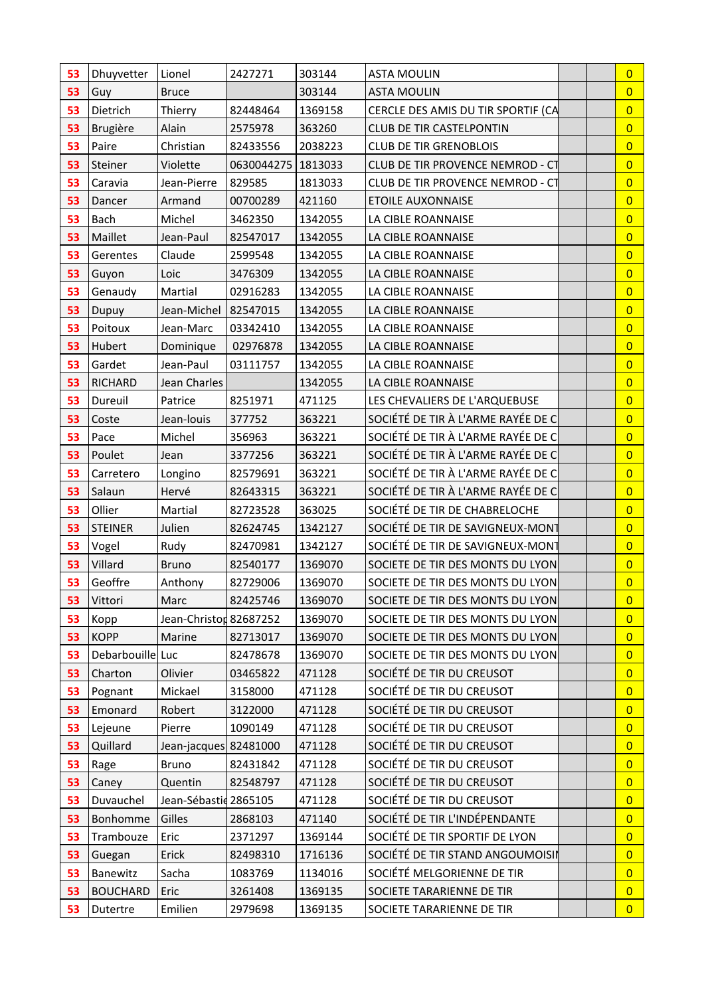| 53 | Dhuyvetter       | Lionel                 | 2427271              | 303144  | <b>ASTA MOULIN</b>                 | $\overline{0}$ |
|----|------------------|------------------------|----------------------|---------|------------------------------------|----------------|
| 53 | Guy              | <b>Bruce</b>           |                      | 303144  | <b>ASTA MOULIN</b>                 | $\overline{0}$ |
| 53 | Dietrich         | Thierry                | 82448464             | 1369158 | CERCLE DES AMIS DU TIR SPORTIF (CA | $\overline{0}$ |
| 53 | Brugière         | Alain                  | 2575978              | 363260  | <b>CLUB DE TIR CASTELPONTIN</b>    | $\overline{0}$ |
| 53 | Paire            | Christian              | 82433556             | 2038223 | <b>CLUB DE TIR GRENOBLOIS</b>      | $\overline{0}$ |
| 53 | Steiner          | Violette               | 0630044275   1813033 |         | CLUB DE TIR PROVENCE NEMROD - CT   | $\overline{0}$ |
| 53 | Caravia          | Jean-Pierre            | 829585               | 1813033 | CLUB DE TIR PROVENCE NEMROD - CT   | $\overline{0}$ |
| 53 | Dancer           | Armand                 | 00700289             | 421160  | <b>ETOILE AUXONNAISE</b>           | $\overline{0}$ |
| 53 | Bach             | Michel                 | 3462350              | 1342055 | LA CIBLE ROANNAISE                 | $\overline{0}$ |
| 53 | Maillet          | Jean-Paul              | 82547017             | 1342055 | LA CIBLE ROANNAISE                 | $\overline{0}$ |
| 53 | Gerentes         | Claude                 | 2599548              | 1342055 | LA CIBLE ROANNAISE                 | $\overline{0}$ |
| 53 | Guyon            | Loic                   | 3476309              | 1342055 | LA CIBLE ROANNAISE                 | $\overline{0}$ |
| 53 | Genaudy          | Martial                | 02916283             | 1342055 | LA CIBLE ROANNAISE                 | $\overline{0}$ |
| 53 | Dupuy            | Jean-Michel   82547015 |                      | 1342055 | LA CIBLE ROANNAISE                 | $\overline{0}$ |
| 53 | Poitoux          | Jean-Marc              | 03342410             | 1342055 | LA CIBLE ROANNAISE                 | $\overline{0}$ |
| 53 | Hubert           | Dominique              | 02976878             | 1342055 | LA CIBLE ROANNAISE                 | $\overline{0}$ |
| 53 | Gardet           | Jean-Paul              | 03111757             | 1342055 | LA CIBLE ROANNAISE                 | $\overline{0}$ |
| 53 | <b>RICHARD</b>   | Jean Charles           |                      | 1342055 | LA CIBLE ROANNAISE                 | $\overline{0}$ |
| 53 | Dureuil          | Patrice                | 8251971              | 471125  | LES CHEVALIERS DE L'ARQUEBUSE      | $\overline{0}$ |
| 53 | Coste            | Jean-louis             | 377752               | 363221  | SOCIÉTÉ DE TIR À L'ARME RAYÉE DE C | $\overline{0}$ |
| 53 | Pace             | Michel                 | 356963               | 363221  | SOCIÉTÉ DE TIR À L'ARME RAYÉE DE C | $\overline{0}$ |
| 53 | Poulet           | Jean                   | 3377256              | 363221  | SOCIÉTÉ DE TIR À L'ARME RAYÉE DE C | $\overline{0}$ |
| 53 | Carretero        | Longino                | 82579691             | 363221  | SOCIÉTÉ DE TIR À L'ARME RAYÉE DE C | $\overline{0}$ |
| 53 | Salaun           | Hervé                  | 82643315             | 363221  | SOCIÉTÉ DE TIR À L'ARME RAYÉE DE C | $\overline{0}$ |
| 53 | Ollier           | Martial                | 82723528             | 363025  | SOCIÉTÉ DE TIR DE CHABRELOCHE      | $\overline{0}$ |
| 53 | <b>STEINER</b>   | Julien                 | 82624745             | 1342127 | SOCIÉTÉ DE TIR DE SAVIGNEUX-MONT   | $\overline{0}$ |
| 53 | Vogel            | Rudy                   | 82470981             | 1342127 | SOCIÉTÉ DE TIR DE SAVIGNEUX-MONT   | $\overline{0}$ |
| 53 | Villard          | <b>Bruno</b>           | 82540177             | 1369070 | SOCIETE DE TIR DES MONTS DU LYON   | $\overline{0}$ |
| 53 | Geoffre          | Anthony                | 82729006             | 1369070 | SOCIETE DE TIR DES MONTS DU LYON   | $\overline{0}$ |
| 53 | Vittori          | Marc                   | 82425746             | 1369070 | SOCIETE DE TIR DES MONTS DU LYON   | $\overline{0}$ |
| 53 | Kopp             | Jean-Christor 82687252 |                      | 1369070 | SOCIETE DE TIR DES MONTS DU LYON   | $\overline{0}$ |
| 53 | <b>KOPP</b>      | Marine                 | 82713017             | 1369070 | SOCIETE DE TIR DES MONTS DU LYON   | $\overline{0}$ |
| 53 | Debarbouille Luc |                        | 82478678             | 1369070 | SOCIETE DE TIR DES MONTS DU LYON   | $\overline{0}$ |
| 53 | Charton          | Olivier                | 03465822             | 471128  | SOCIÉTÉ DE TIR DU CREUSOT          | $\overline{0}$ |
| 53 | Pognant          | Mickael                | 3158000              | 471128  | SOCIÉTÉ DE TIR DU CREUSOT          | $\overline{0}$ |
| 53 | Emonard          | Robert                 | 3122000              | 471128  | SOCIÉTÉ DE TIR DU CREUSOT          | $\overline{0}$ |
| 53 | Lejeune          | Pierre                 | 1090149              | 471128  | SOCIÉTÉ DE TIR DU CREUSOT          | $\overline{0}$ |
| 53 | Quillard         | Jean-jacques 82481000  |                      | 471128  | SOCIÉTÉ DE TIR DU CREUSOT          | $\overline{0}$ |
| 53 | Rage             | Bruno                  | 82431842             | 471128  | SOCIÉTÉ DE TIR DU CREUSOT          | $\overline{0}$ |
| 53 | Caney            | Quentin                | 82548797             | 471128  | SOCIÉTÉ DE TIR DU CREUSOT          | $\overline{0}$ |
| 53 | Duvauchel        | Jean-Sébastid 2865105  |                      | 471128  | SOCIÉTÉ DE TIR DU CREUSOT          | $\overline{0}$ |
| 53 | Bonhomme         | Gilles                 | 2868103              | 471140  | SOCIÉTÉ DE TIR L'INDÉPENDANTE      | $\overline{0}$ |
| 53 | Trambouze        | Eric                   | 2371297              | 1369144 | SOCIÉTÉ DE TIR SPORTIF DE LYON     | $\overline{0}$ |
| 53 | Guegan           | Erick                  | 82498310             | 1716136 | SOCIÉTÉ DE TIR STAND ANGOUMOISII   | $\overline{0}$ |
| 53 | Banewitz         | Sacha                  | 1083769              | 1134016 | SOCIÉTÉ MELGORIENNE DE TIR         | $\overline{0}$ |
| 53 | <b>BOUCHARD</b>  | Eric                   | 3261408              | 1369135 | SOCIETE TARARIENNE DE TIR          | $\overline{0}$ |
| 53 | Dutertre         | Emilien                | 2979698              | 1369135 | SOCIETE TARARIENNE DE TIR          | $\overline{0}$ |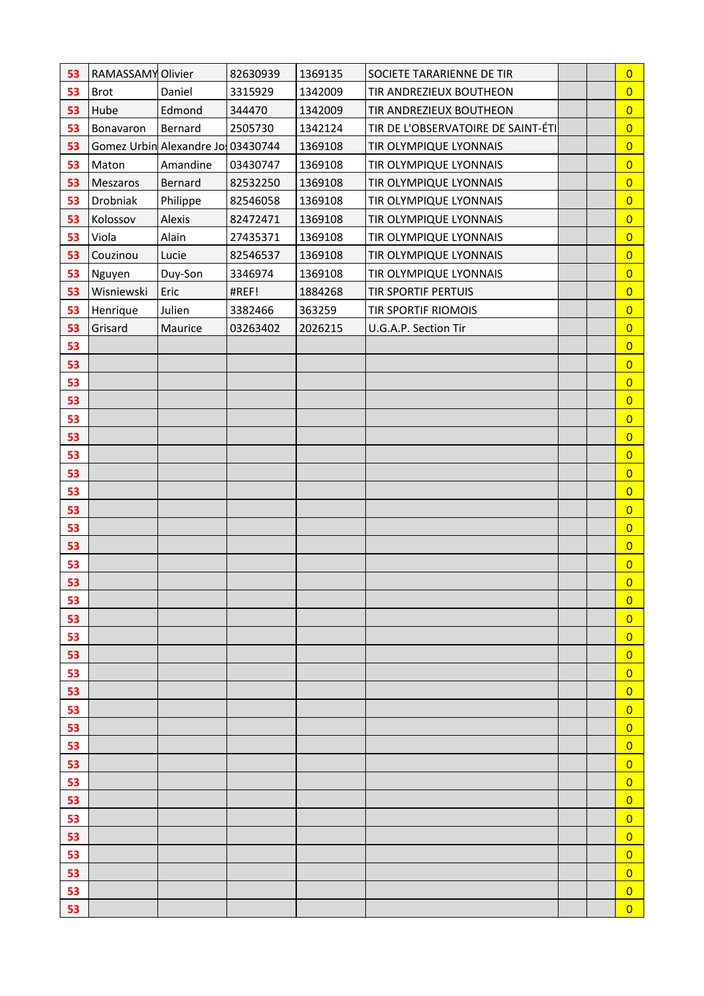| 53       | RAMASSAMY Olivier |                                   | 82630939 | 1369135 | SOCIETE TARARIENNE DE TIR          |  | $\overline{0}$                   |
|----------|-------------------|-----------------------------------|----------|---------|------------------------------------|--|----------------------------------|
| 53       | <b>Brot</b>       | Daniel                            | 3315929  | 1342009 | TIR ANDREZIEUX BOUTHEON            |  | $\overline{0}$                   |
| 53       | Hube              | Edmond                            | 344470   | 1342009 | TIR ANDREZIEUX BOUTHEON            |  | $\overline{0}$                   |
| 53       | Bonavaron         | Bernard                           | 2505730  | 1342124 | TIR DE L'OBSERVATOIRE DE SAINT-ÉTI |  | $\overline{0}$                   |
| 53       |                   | Gomez Urbin Alexandre Jo 03430744 |          | 1369108 | TIR OLYMPIQUE LYONNAIS             |  | $\overline{0}$                   |
| 53       | Maton             | Amandine                          | 03430747 | 1369108 | TIR OLYMPIQUE LYONNAIS             |  | $\overline{0}$                   |
| 53       | Meszaros          | Bernard                           | 82532250 | 1369108 | TIR OLYMPIQUE LYONNAIS             |  | $\overline{0}$                   |
| 53       | Drobniak          | Philippe                          | 82546058 | 1369108 | TIR OLYMPIQUE LYONNAIS             |  | $\overline{0}$                   |
| 53       | Kolossov          | Alexis                            | 82472471 | 1369108 | TIR OLYMPIQUE LYONNAIS             |  | $\overline{0}$                   |
| 53       | Viola             | Alain                             | 27435371 | 1369108 | TIR OLYMPIQUE LYONNAIS             |  | $\overline{0}$                   |
| 53       | Couzinou          | Lucie                             | 82546537 | 1369108 | TIR OLYMPIQUE LYONNAIS             |  | $\overline{0}$                   |
| 53       | Nguyen            | Duy-Son                           | 3346974  | 1369108 | TIR OLYMPIQUE LYONNAIS             |  | $\overline{0}$                   |
| 53       | Wisniewski        | Eric                              | #REF!    | 1884268 | <b>TIR SPORTIF PERTUIS</b>         |  | $\overline{0}$                   |
| 53       | Henrique          | Julien                            | 3382466  | 363259  | TIR SPORTIF RIOMOIS                |  | $\overline{0}$                   |
| 53       | Grisard           | Maurice                           | 03263402 | 2026215 | U.G.A.P. Section Tir               |  | $\overline{0}$                   |
| 53       |                   |                                   |          |         |                                    |  | $\overline{0}$                   |
| 53       |                   |                                   |          |         |                                    |  | $\overline{0}$                   |
| 53       |                   |                                   |          |         |                                    |  | $\overline{0}$                   |
| 53       |                   |                                   |          |         |                                    |  | $\overline{0}$                   |
| 53       |                   |                                   |          |         |                                    |  | $\overline{0}$                   |
| 53       |                   |                                   |          |         |                                    |  | $\overline{0}$                   |
| 53       |                   |                                   |          |         |                                    |  | $\overline{0}$                   |
| 53       |                   |                                   |          |         |                                    |  | $\overline{0}$                   |
| 53       |                   |                                   |          |         |                                    |  | $\overline{0}$                   |
| 53       |                   |                                   |          |         |                                    |  | $\overline{0}$                   |
| 53       |                   |                                   |          |         |                                    |  | $\overline{0}$                   |
| 53       |                   |                                   |          |         |                                    |  | $\overline{0}$                   |
| 53       |                   |                                   |          |         |                                    |  | $\overline{0}$                   |
| 53       |                   |                                   |          |         |                                    |  | $\overline{0}$                   |
| 53       |                   |                                   |          |         |                                    |  | $\overline{0}$                   |
| 53<br>53 |                   |                                   |          |         |                                    |  | $\overline{0}$<br>$\overline{0}$ |
| 53       |                   |                                   |          |         |                                    |  | $\overline{0}$                   |
| 53       |                   |                                   |          |         |                                    |  | $\overline{0}$                   |
| 53       |                   |                                   |          |         |                                    |  | $\overline{0}$                   |
| 53       |                   |                                   |          |         |                                    |  | $\overline{0}$                   |
| 53       |                   |                                   |          |         |                                    |  | $\overline{0}$                   |
| 53       |                   |                                   |          |         |                                    |  | $\overline{0}$                   |
| 53       |                   |                                   |          |         |                                    |  | $\overline{0}$                   |
| 53       |                   |                                   |          |         |                                    |  | $\overline{0}$                   |
| 53       |                   |                                   |          |         |                                    |  | $\overline{0}$                   |
| 53       |                   |                                   |          |         |                                    |  | $\overline{0}$                   |
| 53       |                   |                                   |          |         |                                    |  | $\overline{0}$                   |
| 53       |                   |                                   |          |         |                                    |  | $\overline{0}$                   |
| 53       |                   |                                   |          |         |                                    |  | $\overline{0}$                   |
| 53       |                   |                                   |          |         |                                    |  | $\overline{0}$                   |
| 53       |                   |                                   |          |         |                                    |  | $\overline{0}$                   |